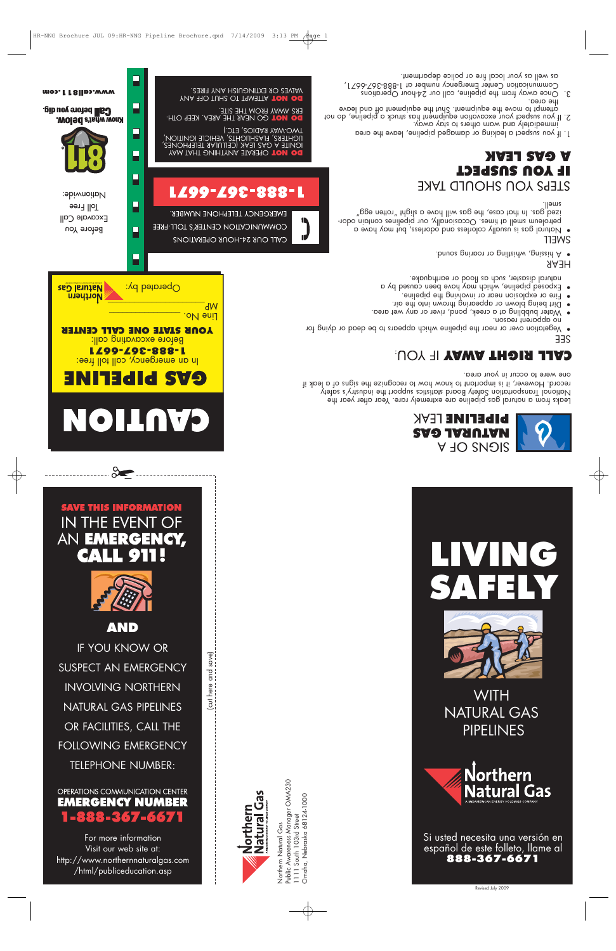For more information Visit our web site at: http://www.northernnaturalgas.com /html/publiceducation.asp

Northern Natural Gas

Morthern<br>Natural Gas

Public Awareness Manager OMA230

Northern Natural Gas<br>Public Awareness Manager OMA230<br>1111 South 103rd Street

1111 South 103rd Street Omaha, Nebraska 68124-1000

Omaha, Nebraska 68124-1000

### OPERATIONS COMMUNICATION CENTER **EMERGENCY NUMBER** 1-888-367-6671

IF YOU KNOW OR SUSPECT AN EMERGENCY INVOLVING NORTHERN NATURAL GAS PIPELINES OR FACILITIES, CALL THE FOLLOWING EMERGENCY TELEPHONE NUMBER:



## **SAVE THIS INFORMATION** IN THE EVENT OF AN EMERGENCY, **CALL 911**





**YOUR STATE ONE CALL CENTER**  Before excavating call: **1-888-367-6671** In an emergency, call toll tree: **EV2 bibETINE** 

# $\Box$  Operated by: **Natural Gas** Northern  $\overline{C}$  .oM  $\overline{M}$

P

F

 $\Box$ 

Ε



Before You Excavate Call Toll Free Nationwide:

**Call** before you dig. **MOISC** as the Delow.

**www.call811.com**

 $\Box$ 

ATTEMPT TO SHUT OFF ANY **DO NOT** 

GO NEAR THE AREA. KEEP OTH- **DO NOT** 

ERS AWAY FROM THE SITE.

VALVES OR EXTINGUISH ANY FIRES.

 $dW$ 

(cut here and save)

 $\overline{5!}$ 

here and save)

LZ99-Z9E-888-L

EWEKCENCA LEFELHONE NNWBEK'

CALL OUR 24-HOUR OPERATIONS

COWWNNICYLION CENLEK, 2 LOFF-LKEE

LIGHTERS, FLASHLIGHTS, VEHICLE IGNITION,

OPERATE ANYTHING THAT MAY **DO NOT**  IGNITE A GAS LEAK (CELLULAR TELEPHONES,

TWO-WAY RADIOS, ETC.)

Leaks from a natural gas pipeline are extremely rare. Year after year the National Transportation Safety Board statistics support the industry's safety record. However, it is important to know how to recognize the signs of a leak if

> **PIPELINE** LEAK **NATURAL GAS**

> > **SIGUS OF A**

• Vegetation over or near the pipeline which appears to be dead or dying for

• Water bubbling at a creek, pond, river or any wet area.

• Natural gas is usually colorless and odorless, but may have a petroleum smell at times. Occasionally, our pipelines contain odorized gas. In that case, the gas will have a slight "rotten egg"

1. If you suspect a leaking or damaged pipeline, leave the area

3. Once away from the pipeline, call our 24-hour Operations

2. If you suspect your excavation equipment has struck a pipeline, do not attempt to move the equipment. Shut the equipment off and leave the area.

Communication Center Emergency number at 1-888-367-6671,

immediately and warn others to stay away.

STEPS YOU SHOULD TAKE

as well as your local fire or police department.

• Dirt being blown or appearing thrown into the air. • Fire or explosion near or involving the pipeline. • Exbosed pipeline, which may have been caused by a natural disaster, such as flood or earthquake.

CALL RIGHT AWAY IF YOU.

• A hissing, whistling or roaring sound.

one were to occur in your area.

**LIVING**

**SAFELY**

**WITH** 

NATURAL GAS

PIPELINES

Northern

**Natural Gas** 

Si usted necesita una versión en español de este folleto, llame al **888-367-6671**

Revised July 2009

no apparent reason.

**NVET SVO V** 

**TP TOU SUSPECT** 

SEE

HEAR

**SMELL** 

smell.